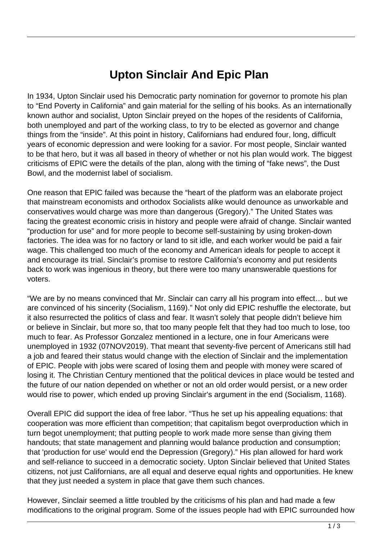## **Upton Sinclair And Epic Plan**

In 1934, Upton Sinclair used his Democratic party nomination for governor to promote his plan to "End Poverty in California" and gain material for the selling of his books. As an internationally known author and socialist, Upton Sinclair preyed on the hopes of the residents of California, both unemployed and part of the working class, to try to be elected as governor and change things from the "inside". At this point in history, Californians had endured four, long, difficult years of economic depression and were looking for a savior. For most people, Sinclair wanted to be that hero, but it was all based in theory of whether or not his plan would work. The biggest criticisms of EPIC were the details of the plan, along with the timing of "fake news", the Dust Bowl, and the modernist label of socialism.

One reason that EPIC failed was because the "heart of the platform was an elaborate project that mainstream economists and orthodox Socialists alike would denounce as unworkable and conservatives would charge was more than dangerous (Gregory)." The United States was facing the greatest economic crisis in history and people were afraid of change. Sinclair wanted "production for use" and for more people to become self-sustaining by using broken-down factories. The idea was for no factory or land to sit idle, and each worker would be paid a fair wage. This challenged too much of the economy and American ideals for people to accept it and encourage its trial. Sinclair's promise to restore California's economy and put residents back to work was ingenious in theory, but there were too many unanswerable questions for voters.

"We are by no means convinced that Mr. Sinclair can carry all his program into effect… but we are convinced of his sincerity (Socialism, 1169)." Not only did EPIC reshuffle the electorate, but it also resurrected the politics of class and fear. It wasn't solely that people didn't believe him or believe in Sinclair, but more so, that too many people felt that they had too much to lose, too much to fear. As Professor Gonzalez mentioned in a lecture, one in four Americans were unemployed in 1932 (07NOV2019). That meant that seventy-five percent of Americans still had a job and feared their status would change with the election of Sinclair and the implementation of EPIC. People with jobs were scared of losing them and people with money were scared of losing it. The Christian Century mentioned that the political devices in place would be tested and the future of our nation depended on whether or not an old order would persist, or a new order would rise to power, which ended up proving Sinclair's argument in the end (Socialism, 1168).

Overall EPIC did support the idea of free labor. "Thus he set up his appealing equations: that cooperation was more efficient than competition; that capitalism begot overproduction which in turn begot unemployment; that putting people to work made more sense than giving them handouts; that state management and planning would balance production and consumption; that 'production for use' would end the Depression (Gregory)." His plan allowed for hard work and self-reliance to succeed in a democratic society. Upton Sinclair believed that United States citizens, not just Californians, are all equal and deserve equal rights and opportunities. He knew that they just needed a system in place that gave them such chances.

However, Sinclair seemed a little troubled by the criticisms of his plan and had made a few modifications to the original program. Some of the issues people had with EPIC surrounded how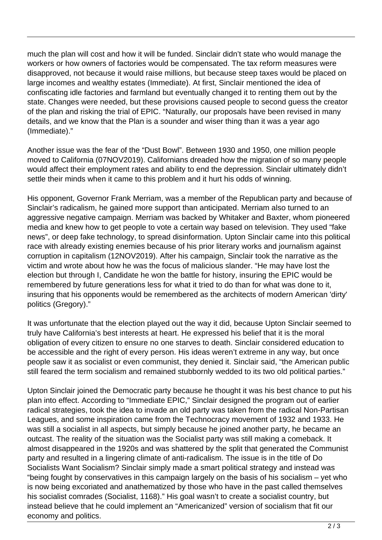much the plan will cost and how it will be funded. Sinclair didn't state who would manage the workers or how owners of factories would be compensated. The tax reform measures were disapproved, not because it would raise millions, but because steep taxes would be placed on large incomes and wealthy estates (Immediate). At first, Sinclair mentioned the idea of confiscating idle factories and farmland but eventually changed it to renting them out by the state. Changes were needed, but these provisions caused people to second guess the creator of the plan and risking the trial of EPIC. "Naturally, our proposals have been revised in many details, and we know that the Plan is a sounder and wiser thing than it was a year ago (Immediate)."

Another issue was the fear of the "Dust Bowl". Between 1930 and 1950, one million people moved to California (07NOV2019). Californians dreaded how the migration of so many people would affect their employment rates and ability to end the depression. Sinclair ultimately didn't settle their minds when it came to this problem and it hurt his odds of winning.

His opponent, Governor Frank Merriam, was a member of the Republican party and because of Sinclair's radicalism, he gained more support than anticipated. Merriam also turned to an aggressive negative campaign. Merriam was backed by Whitaker and Baxter, whom pioneered media and knew how to get people to vote a certain way based on television. They used "fake news", or deep fake technology, to spread disinformation. Upton Sinclair came into this political race with already existing enemies because of his prior literary works and journalism against corruption in capitalism (12NOV2019). After his campaign, Sinclair took the narrative as the victim and wrote about how he was the focus of malicious slander. "He may have lost the election but through I, Candidate he won the battle for history, insuring the EPIC would be remembered by future generations less for what it tried to do than for what was done to it, insuring that his opponents would be remembered as the architects of modern American 'dirty' politics (Gregory)."

It was unfortunate that the election played out the way it did, because Upton Sinclair seemed to truly have California's best interests at heart. He expressed his belief that it is the moral obligation of every citizen to ensure no one starves to death. Sinclair considered education to be accessible and the right of every person. His ideas weren't extreme in any way, but once people saw it as socialist or even communist, they denied it. Sinclair said, "the American public still feared the term socialism and remained stubbornly wedded to its two old political parties."

Upton Sinclair joined the Democratic party because he thought it was his best chance to put his plan into effect. According to "Immediate EPIC," Sinclair designed the program out of earlier radical strategies, took the idea to invade an old party was taken from the radical Non-Partisan Leagues, and some inspiration came from the Technocracy movement of 1932 and 1933. He was still a socialist in all aspects, but simply because he joined another party, he became an outcast. The reality of the situation was the Socialist party was still making a comeback. It almost disappeared in the 1920s and was shattered by the split that generated the Communist party and resulted in a lingering climate of anti-radicalism. The issue is in the title of Do Socialists Want Socialism? Sinclair simply made a smart political strategy and instead was "being fought by conservatives in this campaign largely on the basis of his socialism – yet who is now being excoriated and anathematized by those who have in the past called themselves his socialist comrades (Socialist, 1168)." His goal wasn't to create a socialist country, but instead believe that he could implement an "Americanized" version of socialism that fit our economy and politics.